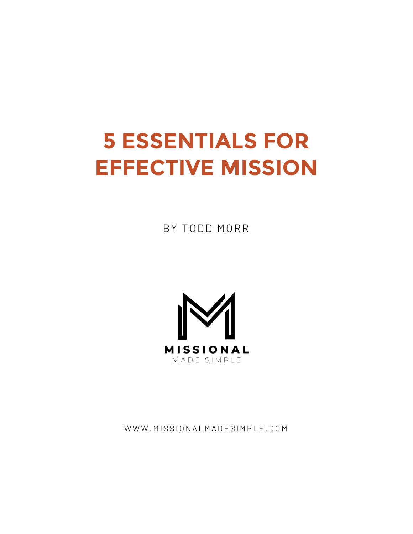# **5 ESSENTIALS FOR EFFECTIVE MISSION**

BY TODD MORR



WWW.MISSIONALMADESIMPLE.COM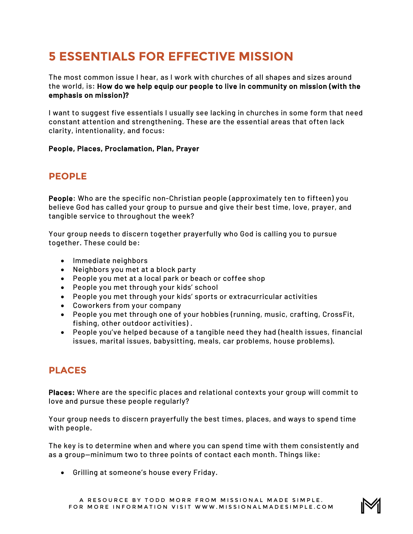# **5 ESSENTIALS FOR EFFECTIVE MISSION**

The most common issue I hear, as I work with churches of all shapes and sizes around the world, is: How do we help equip our people to live in community on mission (with the emphasis on mission)?

I want to suggest five essentials I usually see lacking in churches in some form that need constant attention and strengthening. These are the essential areas that often lack clarity, intentionality, and focus:

#### People, Places, Proclamation, Plan, Prayer

# **PEOPLE**

People: Who are the specific non-Christian people (approximately ten to fifteen) you believe God has called your group to pursue and give their best time, love, prayer, and tangible service to throughout the week?

Your group needs to discern together prayerfully who God is calling you to pursue together. These could be:

- Immediate neighbors
- Neighbors you met at a block party
- People you met at a local park or beach or coffee shop
- People you met through your kids' school
- People you met through your kids' sports or extracurricular activities
- Coworkers from your company
- People you met through one of your hobbies (running, music, crafting, CrossFit, fishing, other outdoor activities) .
- People you've helped because of a tangible need they had (health issues, financial issues, marital issues, babysitting, meals, car problems, house problems).

# **PLACES**

Places: Where are the specific places and relational contexts your group will commit to love and pursue these people regularly?

Your group needs to discern prayerfully the best times, places, and ways to spend time with people.

The key is to determine when and where you can spend time with them consistently and as a group—minimum two to three points of contact each month. Things like:

• Grilling at someone's house every Friday.

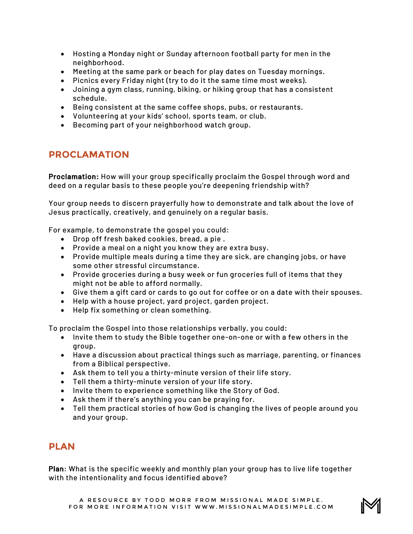- Hosting a Monday night or Sunday afternoon football party for men in the neighborhood.
- Meeting at the same park or beach for play dates on Tuesday mornings.
- Picnics every Friday night (try to do it the same time most weeks).
- Joining a gym class, running, biking, or hiking group that has a consistent schedule.
- Being consistent at the same coffee shops, pubs, or restaurants.
- Volunteering at your kids' school, sports team, or club.
- Becoming part of your neighborhood watch group.

# **PROCLAMATION**

Proclamation: How will your group specifically proclaim the Gospel through word and deed on a regular basis to these people you're deepening friendship with?

Your group needs to discern prayerfully how to demonstrate and talk about the love of Jesus practically, creatively, and genuinely on a regular basis.

For example, to demonstrate the gospel you could:

- Drop off fresh baked cookies, bread, a pie .
- Provide a meal on a night you know they are extra busy.
- Provide multiple meals during a time they are sick, are changing jobs, or have some other stressful circumstance.
- Provide groceries during a busy week or fun groceries full of items that they might not be able to afford normally.
- Give them a gift card or cards to go out for coffee or on a date with their spouses.
- Help with a house project, yard project, garden project.
- Help fix something or clean something.

To proclaim the Gospel into those relationships verbally, you could:

- Invite them to study the Bible together one-on-one or with a few others in the group.
- Have a discussion about practical things such as marriage, parenting, or finances from a Biblical perspective.
- Ask them to tell you a thirty-minute version of their life story.
- Tell them a thirty-minute version of your life story.
- Invite them to experience something like the Story of God.
- Ask them if there's anything you can be praying for.
- Tell them practical stories of how God is changing the lives of people around you and your group.

#### **PLAN**

Plan: What is the specific weekly and monthly plan your group has to live life together with the intentionality and focus identified above?

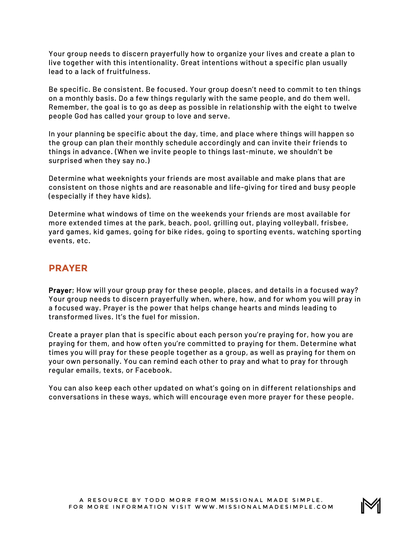Your group needs to discern prayerfully how to organize your lives and create a plan to live together with this intentionality. Great intentions without a specific plan usually lead to a lack of fruitfulness.

Be specific. Be consistent. Be focused. Your group doesn't need to commit to ten things on a monthly basis. Do a few things regularly with the same people, and do them well. Remember, the goal is to go as deep as possible in relationship with the eight to twelve people God has called your group to love and serve.

In your planning be specific about the day, time, and place where things will happen so the group can plan their monthly schedule accordingly and can invite their friends to things in advance. (When we invite people to things last-minute, we shouldn't be surprised when they say no.)

Determine what weeknights your friends are most available and make plans that are consistent on those nights and are reasonable and life-giving for tired and busy people (especially if they have kids).

Determine what windows of time on the weekends your friends are most available for more extended times at the park, beach, pool, grilling out, playing volleyball, frisbee, yard games, kid games, going for bike rides, going to sporting events, watching sporting events, etc.

## **PRAYER**

Prayer; How will your group pray for these people, places, and details in a focused way? Your group needs to discern prayerfully when, where, how, and for whom you will pray in a focused way. Prayer is the power that helps change hearts and minds leading to transformed lives. It's the fuel for mission.

Create a prayer plan that is specific about each person you're praying for, how you are praying for them, and how often you're committed to praying for them. Determine what times you will pray for these people together as a group, as well as praying for them on your own personally. You can remind each other to pray and what to pray for through regular emails, texts, or Facebook.

You can also keep each other updated on what's going on in different relationships and conversations in these ways, which will encourage even more prayer for these people.